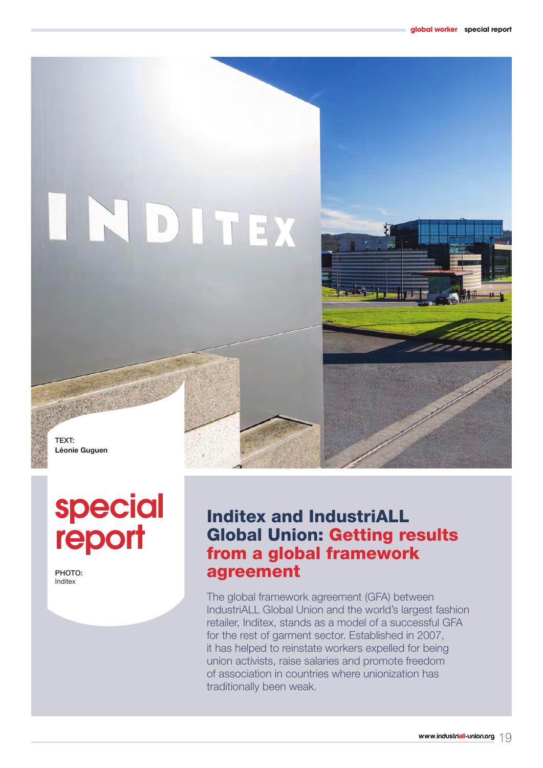# INDITEX



TEXT: **Léonie Guguen**

# special **report**

PHOTO: Inditex

# Inditex and IndustriALL Global Union: Getting results from a global framework agreement

The global framework agreement (GFA) between IndustriALL Global Union and the world's largest fashion retailer, Inditex, stands as a model of a successful GFA for the rest of garment sector. Established in 2007, it has helped to reinstate workers expelled for being union activists, raise salaries and promote freedom of association in countries where unionization has traditionally been weak.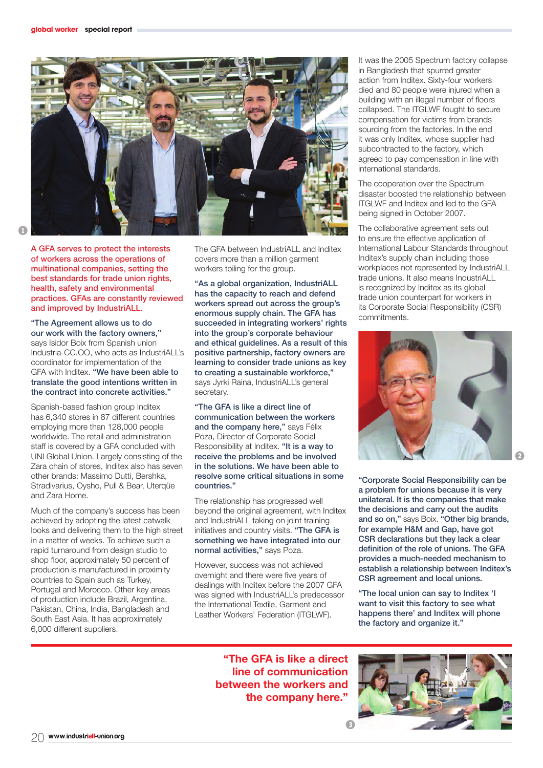

A GFA serves to protect the interests of workers across the operations of multinational companies, setting the best standards for trade union rights, health, safety and environmental practices. GFAs are constantly reviewed and improved by IndustriALL.

"The Agreement allows us to do our work with the factory owners," says Isidor Boix from Spanish union Industria-CC.OO, who acts as IndustriALL's coordinator for implementation of the GFA with Inditex. "We have been able to translate the good intentions written in the contract into concrete activities."

Spanish-based fashion group Inditex has 6,340 stores in 87 different countries employing more than 128,000 people worldwide. The retail and administration staff is covered by a GFA concluded with UNI Global Union. Largely consisting of the Zara chain of stores, Inditex also has seven other brands: Massimo Dutti, Bershka, Stradivarius, Oysho, Pull & Bear, Uterqüe and Zara Home.

Much of the company's success has been achieved by adopting the latest catwalk looks and delivering them to the high street in a matter of weeks. To achieve such a rapid turnaround from design studio to shop floor, approximately 50 percent of production is manufactured in proximity countries to Spain such as Turkey, Portugal and Morocco. Other key areas of production include Brazil, Argentina, Pakistan, China, India, Bangladesh and South East Asia. It has approximately 6,000 different suppliers.

The GFA between IndustriALL and Inditex covers more than a million garment workers toiling for the group.

"As a global organization, IndustriALL has the capacity to reach and defend workers spread out across the group's enormous supply chain. The GFA has succeeded in integrating workers' rights into the group's corporate behaviour and ethical guidelines. As a result of this positive partnership, factory owners are learning to consider trade unions as key to creating a sustainable workforce," says Jyrki Raina, IndustriALL's general secretary.

"The GFA is like a direct line of communication between the workers and the company here," says Félix Poza, Director of Corporate Social Responsibility at Inditex. "It is a way to receive the problems and be involved in the solutions. We have been able to resolve some critical situations in some countries."

The relationship has progressed well beyond the original agreement, with Inditex and IndustriALL taking on joint training initiatives and country visits. "The GFA is something we have integrated into our normal activities," says Poza.

However, success was not achieved overnight and there were five years of dealings with Inditex before the 2007 GFA was signed with IndustriALL's predecessor the International Textile, Garment and Leather Workers' Federation (ITGLWF).

It was the 2005 Spectrum factory collapse in Bangladesh that spurred greater action from Inditex. Sixty-four workers died and 80 people were injured when a building with an illegal number of floors collapsed. The ITGLWF fought to secure compensation for victims from brands sourcing from the factories. In the end it was only Inditex, whose supplier had subcontracted to the factory, which agreed to pay compensation in line with international standards.

The cooperation over the Spectrum disaster boosted the relationship between ITGLWF and Inditex and led to the GFA being signed in October 2007.

The collaborative agreement sets out to ensure the effective application of International Labour Standards throughout Inditex's supply chain including those workplaces not represented by IndustriALL trade unions. It also means IndustriALL is recognized by Inditex as its global trade union counterpart for workers in its Corporate Social Responsibility (CSR) commitments.



"Corporate Social Responsibility can be a problem for unions because it is very unilateral. It is the companies that make the decisions and carry out the audits and so on," says Boix. "Other big brands, for example H&M and Gap, have got CSR declarations but they lack a clear definition of the role of unions. The GFA provides a much-needed mechanism to establish a relationship between Inditex's CSR agreement and local unions.

"The local union can say to Inditex 'I want to visit this factory to see what happens there' and Inditex will phone the factory and organize it."

**"The GFA is like a direct line of communication between the workers and the company here."**

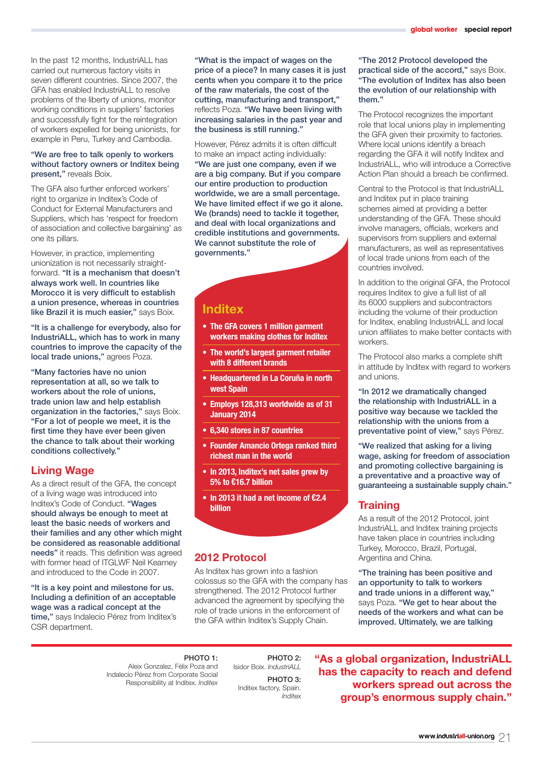In the past 12 months, IndustriALL has carried out numerous factory visits in seven different countries. Since 2007, the GFA has enabled IndustriALL to resolve problems of the liberty of unions, monitor working conditions in suppliers' factories and successfully fight for the reintegration of workers expelled for being unionists, for example in Peru, Turkey and Cambodia.

#### "We are free to talk openly to workers without factory owners or Inditex being present," reveals Boix.

The GFA also further enforced workers' right to organize in Inditex's Code of Conduct for External Manufacturers and Suppliers, which has 'respect for freedom of association and collective bargaining' as one its pillars.

However, in practice, implementing unionization is not necessarily straightforward. "It is a mechanism that doesn't always work well. In countries like Morocco it is very difficult to establish a union presence, whereas in countries like Brazil it is much easier," says Boix.

"It is a challenge for everybody, also for IndustriALL, which has to work in many countries to improve the capacity of the local trade unions," agrees Poza.

"Many factories have no union representation at all, so we talk to workers about the role of unions, trade union law and help establish organization in the factories," says Boix. "For a lot of people we meet, it is the first time they have ever been given the chance to talk about their working conditions collectively."

# **Living Wage**

As a direct result of the GFA, the concept of a living wage was introduced into Inditex's Code of Conduct. "Wages should always be enough to meet at least the basic needs of workers and their families and any other which might be considered as reasonable additional needs" it reads. This definition was agreed with former head of ITGLWF Neil Kearney and introduced to the Code in 2007.

"It is a key point and milestone for us. Including a definition of an acceptable wage was a radical concept at the time," says Indalecio Pérez from Inditex's CSR department.

"What is the impact of wages on the price of a piece? In many cases it is just cents when you compare it to the price of the raw materials, the cost of the cutting, manufacturing and transport," reflects Poza. "We have been living with increasing salaries in the past year and the business is still running."

However, Pérez admits it is often difficult to make an impact acting individually: "We are just one company, even if we are a big company. But if you compare our entire production to production worldwide, we are a small percentage. We have limited effect if we go it alone. We (brands) need to tackle it together, and deal with local organizations and credible institutions and governments. We cannot substitute the role of governments."

# **Inditex**

- **• The GFA covers 1 million garment workers making clothes for Inditex**
- **• The world's largest garment retailer with 8 different brands**
- **• Headquartered in La Coruña in north west Spain**
- **• Employs 128,313 worldwide as of 31 January 2014**
- **• 6,340 stores in 87 countries**
- **• Founder Amancio Ortega ranked third richest man in the world**
- **• In 2013, Inditex's net sales grew by 5% to €16.7 billion**
- **• In 2013 it had a net income of €2.4 billion**

# **2012 Protocol**

As Inditex has grown into a fashion colossus so the GFA with the company has strengthened. The 2012 Protocol further advanced the agreement by specifying the role of trade unions in the enforcement of the GFA within Inditex's Supply Chain.

#### "The 2012 Protocol developed the practical side of the accord," says Boix. "The evolution of Inditex has also been the evolution of our relationship with them."

The Protocol recognizes the important role that local unions play in implementing the GFA given their proximity to factories. Where local unions identify a breach regarding the GFA it will notify Inditex and IndustriALL, who will introduce a Corrective Action Plan should a breach be confirmed.

Central to the Protocol is that IndustriALL and Inditex put in place training schemes aimed at providing a better understanding of the GFA. These should involve managers, officials, workers and supervisors from suppliers and external manufacturers, as well as representatives of local trade unions from each of the countries involved.

In addition to the original GFA, the Protocol requires Inditex to give a full list of all its 6000 suppliers and subcontractors including the volume of their production for Inditex, enabling IndustriALL and local union affiliates to make better contacts with workers.

The Protocol also marks a complete shift in attitude by Inditex with regard to workers and unions.

"In 2012 we dramatically changed the relationship with IndustriALL in a positive way because we tackled the relationship with the unions from a preventative point of view," says Pérez.

"We realized that asking for a living wage, asking for freedom of association and promoting collective bargaining is a preventative and a proactive way of guaranteeing a sustainable supply chain."

# **Training**

As a result of the 2012 Protocol, joint IndustriALL and Inditex training projects have taken place in countries including Turkey, Morocco, Brazil, Portugal, Argentina and China.

"The training has been positive and an opportunity to talk to workers and trade unions in a different way," says Poza. "We get to hear about the needs of the workers and what can be improved. Ultimately, we are talking

PHOTO 1: Aleix Gonzalez, Félix Poza and Indalecio Pérez from Corporate Social Responsibility at Inditex. *Inditex*

PHOTO 2: Isidor Boix. *IndustriALL* PHOTO 3: Inditex factory, Spain. *Inditex*

**"As a global organization, IndustriALL has the capacity to reach and defend workers spread out across the group's enormous supply chain."**